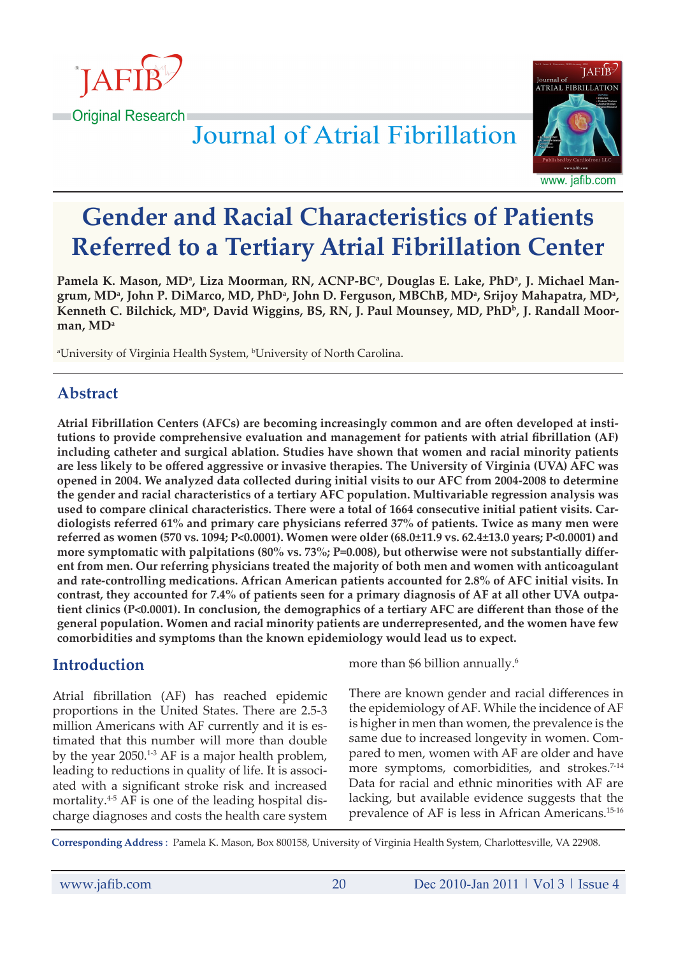



www. jafib.com

# **Gender and Racial Characteristics of Patients Referred to a Tertiary Atrial Fibrillation Center**

Pamela K. Mason, MDª, Liza Moorman, RN, ACNP-BCª, Douglas E. Lake, PhDª, J. Michael Mangrum, MDª, John P. DiMarco, MD, PhDª, John D. Ferguson, MBChB, MDª, Srijoy Mahapatra, MDª, Kenneth C. Bilchick, MDª, David Wiggins, BS, RN, J. Paul Mounsey, MD, PhDʰ, J. Randall Moor**man, MDa**

a University of Virginia Health System, b University of North Carolina.

# **Abstract**

**Atrial Fibrillation Centers (AFCs) are becoming increasingly common and are often developed at institutions to provide comprehensive evaluation and management for patients with atrial fibrillation (AF) including catheter and surgical ablation. Studies have shown that women and racial minority patients are less likely to be offered aggressive or invasive therapies. The University of Virginia (UVA) AFC was opened in 2004. We analyzed data collected during initial visits to our AFC from 2004-2008 to determine the gender and racial characteristics of a tertiary AFC population. Multivariable regression analysis was used to compare clinical characteristics. There were a total of 1664 consecutive initial patient visits. Cardiologists referred 61% and primary care physicians referred 37% of patients. Twice as many men were referred as women (570 vs. 1094; P<0.0001). Women were older (68.0±11.9 vs. 62.4±13.0 years; P<0.0001) and more symptomatic with palpitations (80% vs. 73%; P=0.008), but otherwise were not substantially different from men. Our referring physicians treated the majority of both men and women with anticoagulant and rate-controlling medications. African American patients accounted for 2.8% of AFC initial visits. In contrast, they accounted for 7.4% of patients seen for a primary diagnosis of AF at all other UVA outpatient clinics (P<0.0001). In conclusion, the demographics of a tertiary AFC are different than those of the general population. Women and racial minority patients are underrepresented, and the women have few comorbidities and symptoms than the known epidemiology would lead us to expect.**

# **Introduction**

Atrial fibrillation (AF) has reached epidemic proportions in the United States. There are 2.5-3 million Americans with AF currently and it is estimated that this number will more than double by the year  $2050.^{1\cdot3}$  AF is a major health problem, leading to reductions in quality of life. It is associated with a significant stroke risk and increased mortality. $4-5$  AF is one of the leading hospital discharge diagnoses and costs the health care system

more than \$6 billion annually.<sup>6</sup>

There are known gender and racial differences in the epidemiology of AF. While the incidence of AF is higher in men than women, the prevalence is the same due to increased longevity in women. Compared to men, women with AF are older and have more symptoms, comorbidities, and strokes.<sup>7-14</sup> Data for racial and ethnic minorities with AF are lacking, but available evidence suggests that the prevalence of AF is less in African Americans.15-16

**Corresponding Address** : Pamela K. Mason, Box 800158, University of Virginia Health System, Charlottesville, VA 22908.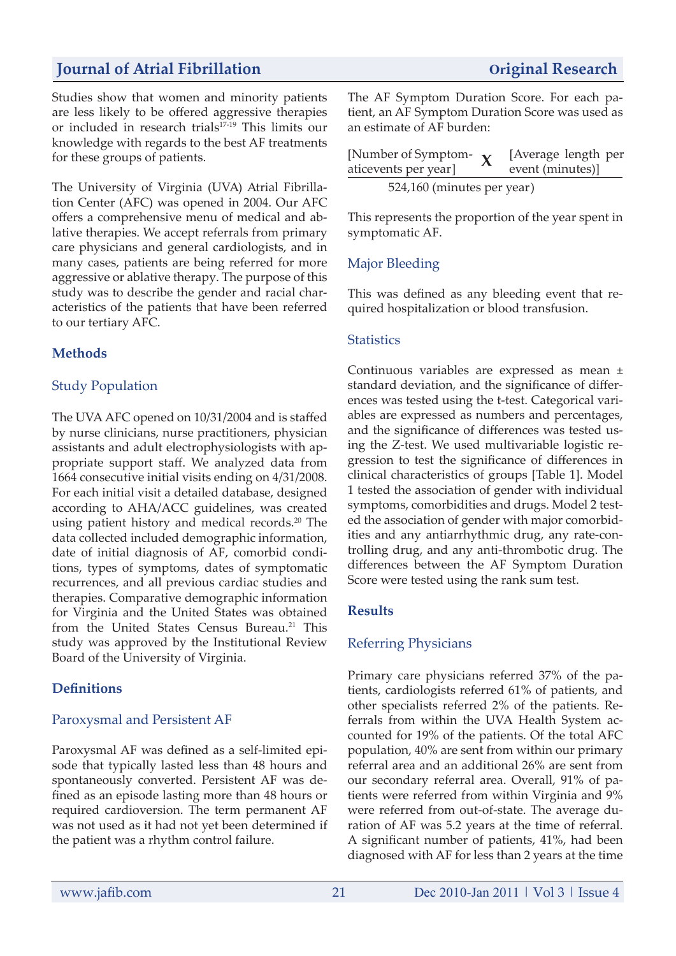Studies show that women and minority patients are less likely to be offered aggressive therapies or included in research trials<sup>17-19</sup> This limits our knowledge with regards to the best AF treatments for these groups of patients.

The University of Virginia (UVA) Atrial Fibrillation Center (AFC) was opened in 2004. Our AFC offers a comprehensive menu of medical and ablative therapies. We accept referrals from primary care physicians and general cardiologists, and in many cases, patients are being referred for more aggressive or ablative therapy. The purpose of this study was to describe the gender and racial characteristics of the patients that have been referred to our tertiary AFC.

# **Methods**

# Study Population

The UVA AFC opened on 10/31/2004 and is staffed by nurse clinicians, nurse practitioners, physician assistants and adult electrophysiologists with appropriate support staff. We analyzed data from 1664 consecutive initial visits ending on 4/31/2008. For each initial visit a detailed database, designed according to AHA/ACC guidelines, was created using patient history and medical records.<sup>20</sup> The data collected included demographic information, date of initial diagnosis of AF, comorbid conditions, types of symptoms, dates of symptomatic recurrences, and all previous cardiac studies and therapies. Comparative demographic information for Virginia and the United States was obtained from the United States Census Bureau.<sup>21</sup> This study was approved by the Institutional Review Board of the University of Virginia.

#### **Definitions**

#### Paroxysmal and Persistent AF

Paroxysmal AF was defined as a self-limited episode that typically lasted less than 48 hours and spontaneously converted. Persistent AF was defined as an episode lasting more than 48 hours or required cardioversion. The term permanent AF was not used as it had not yet been determined if the patient was a rhythm control failure.

The AF Symptom Duration Score. For each patient, an AF Symptom Duration Score was used as an estimate of AF burden:

| [Number of Symptom- $\mathbf{v}$ |  | [Average length per |  |  |  |  |
|----------------------------------|--|---------------------|--|--|--|--|
| aticevents per year]             |  | event (minutes)]    |  |  |  |  |
| 524,160 (minutes per year)       |  |                     |  |  |  |  |

This represents the proportion of the year spent in symptomatic AF.

# Major Bleeding

This was defined as any bleeding event that required hospitalization or blood transfusion.

#### **Statistics**

Continuous variables are expressed as mean ± standard deviation, and the significance of differences was tested using the t-test. Categorical variables are expressed as numbers and percentages, and the significance of differences was tested using the Z-test. We used multivariable logistic regression to test the significance of differences in clinical characteristics of groups [Table 1]. Model 1 tested the association of gender with individual symptoms, comorbidities and drugs. Model 2 tested the association of gender with major comorbidities and any antiarrhythmic drug, any rate-controlling drug, and any anti-thrombotic drug. The differences between the AF Symptom Duration Score were tested using the rank sum test.

#### **Results**

#### Referring Physicians

Primary care physicians referred 37% of the patients, cardiologists referred 61% of patients, and other specialists referred 2% of the patients. Referrals from within the UVA Health System accounted for 19% of the patients. Of the total AFC population, 40% are sent from within our primary referral area and an additional 26% are sent from our secondary referral area. Overall, 91% of patients were referred from within Virginia and 9% were referred from out-of-state. The average duration of AF was 5.2 years at the time of referral. A significant number of patients, 41%, had been diagnosed with AF for less than 2 years at the time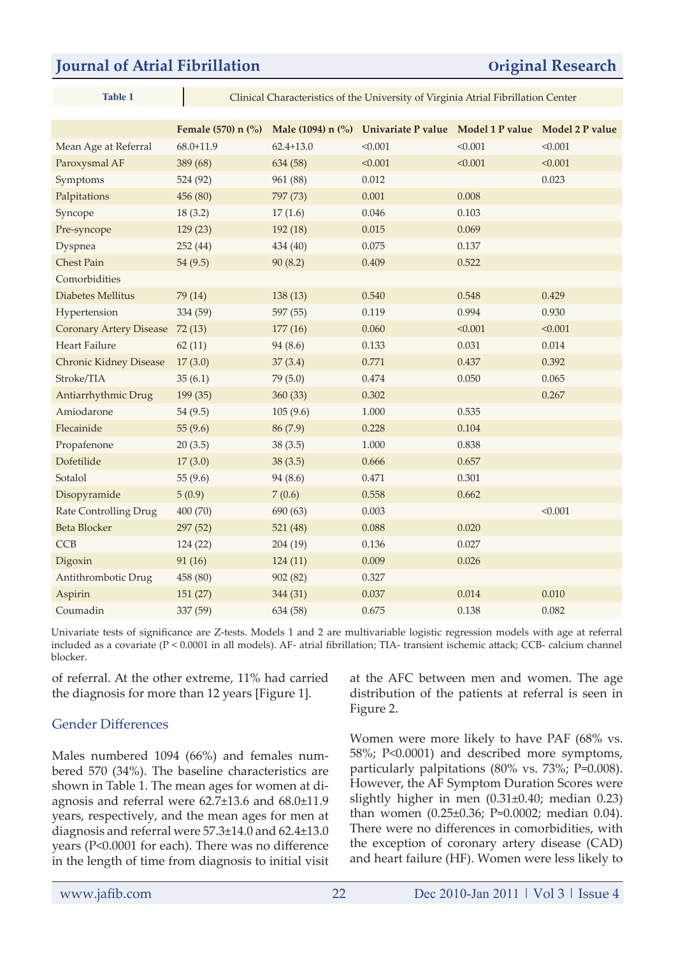| ank |  |
|-----|--|

**Table 1** Clinical Characteristics of the University of Virginia Atrial Fibrillation Center

|                                | Female (570) n $\binom{0}{0}$ |               | Male (1094) n (%) Univariate P value Model 1 P value Model 2 P value |         |         |
|--------------------------------|-------------------------------|---------------|----------------------------------------------------------------------|---------|---------|
| Mean Age at Referral           | $68.0 + 11.9$                 | $62.4 + 13.0$ | < 0.001                                                              | < 0.001 | < 0.001 |
| Paroxysmal AF                  | 389 (68)                      | 634 (58)      | < 0.001                                                              | < 0.001 | < 0.001 |
| Symptoms                       | 524 (92)                      | 961 (88)      | 0.012                                                                |         | 0.023   |
| Palpitations                   | 456 (80)                      | 797 (73)      | 0.001                                                                | 0.008   |         |
| Syncope                        | 18(3.2)                       | 17(1.6)       | 0.046                                                                | 0.103   |         |
| Pre-syncope                    | 129(23)                       | 192 (18)      | 0.015                                                                | 0.069   |         |
| Dyspnea                        | 252 (44)                      | 434 (40)      | 0.075                                                                | 0.137   |         |
| <b>Chest Pain</b>              | 54(9.5)                       | 90(8.2)       | 0.409                                                                | 0.522   |         |
| Comorbidities                  |                               |               |                                                                      |         |         |
| Diabetes Mellitus              | 79 (14)                       | 138(13)       | 0.540                                                                | 0.548   | 0.429   |
| Hypertension                   | 334 (59)                      | 597 (55)      | 0.119                                                                | 0.994   | 0.930   |
| <b>Coronary Artery Disease</b> | 72(13)                        | 177(16)       | 0.060                                                                | < 0.001 | < 0.001 |
| Heart Failure                  | 62(11)                        | 94 (8.6)      | 0.133                                                                | 0.031   | 0.014   |
| <b>Chronic Kidney Disease</b>  | 17(3.0)                       | 37(3.4)       | 0.771                                                                | 0.437   | 0.392   |
| Stroke/TIA                     | 35(6.1)                       | 79(5.0)       | 0.474                                                                | 0.050   | 0.065   |
| Antiarrhythmic Drug            | 199 (35)                      | 360(33)       | 0.302                                                                |         | 0.267   |
| Amiodarone                     | 54(9.5)                       | 105(9.6)      | 1.000                                                                | 0.535   |         |
| Flecainide                     | 55(9.6)                       | 86 (7.9)      | 0.228                                                                | 0.104   |         |
| Propafenone                    | 20(3.5)                       | 38(3.5)       | 1.000                                                                | 0.838   |         |
| Dofetilide                     | 17(3.0)                       | 38(3.5)       | 0.666                                                                | 0.657   |         |
| Sotalol                        | 55(9.6)                       | 94 (8.6)      | 0.471                                                                | 0.301   |         |
| Disopyramide                   | 5(0.9)                        | 7(0.6)        | 0.558                                                                | 0.662   |         |
| <b>Rate Controlling Drug</b>   | 400 (70)                      | 690 (63)      | 0.003                                                                |         | < 0.001 |
| <b>Beta Blocker</b>            | 297 (52)                      | 521(48)       | 0.088                                                                | 0.020   |         |
| CCB                            | 124 (22)                      | 204(19)       | 0.136                                                                | 0.027   |         |
| Digoxin                        | 91 (16)                       | 124(11)       | 0.009                                                                | 0.026   |         |
| Antithrombotic Drug            | 458 (80)                      | 902(82)       | 0.327                                                                |         |         |
| Aspirin                        | 151 (27)                      | 344 (31)      | 0.037                                                                | 0.014   | 0.010   |
| Coumadin                       | 337 (59)                      | 634 (58)      | 0.675                                                                | 0.138   | 0.082   |

Univariate tests of significance are Z-tests. Models 1 and 2 are multivariable logistic regression models with age at referral included as a covariate (P < 0.0001 in all models). AF- atrial fibrillation; TIA- transient ischemic attack; CCB- calcium channel blocker.

of referral. At the other extreme, 11% had carried the diagnosis for more than 12 years [Figure 1].

#### Gender Differences

Males numbered 1094 (66%) and females numbered 570 (34%). The baseline characteristics are shown in Table 1. The mean ages for women at diagnosis and referral were 62.7±13.6 and 68.0±11.9 years, respectively, and the mean ages for men at diagnosis and referral were 57.3±14.0 and 62.4±13.0 years (P<0.0001 for each). There was no difference in the length of time from diagnosis to initial visit at the AFC between men and women. The age distribution of the patients at referral is seen in Figure 2.

Women were more likely to have PAF (68% vs. 58%; P<0.0001) and described more symptoms, particularly palpitations (80% vs. 73%; P=0.008). However, the AF Symptom Duration Scores were slightly higher in men (0.31±0.40; median 0.23) than women (0.25±0.36; P=0.0002; median 0.04). There were no differences in comorbidities, with the exception of coronary artery disease (CAD) and heart failure (HF). Women were less likely to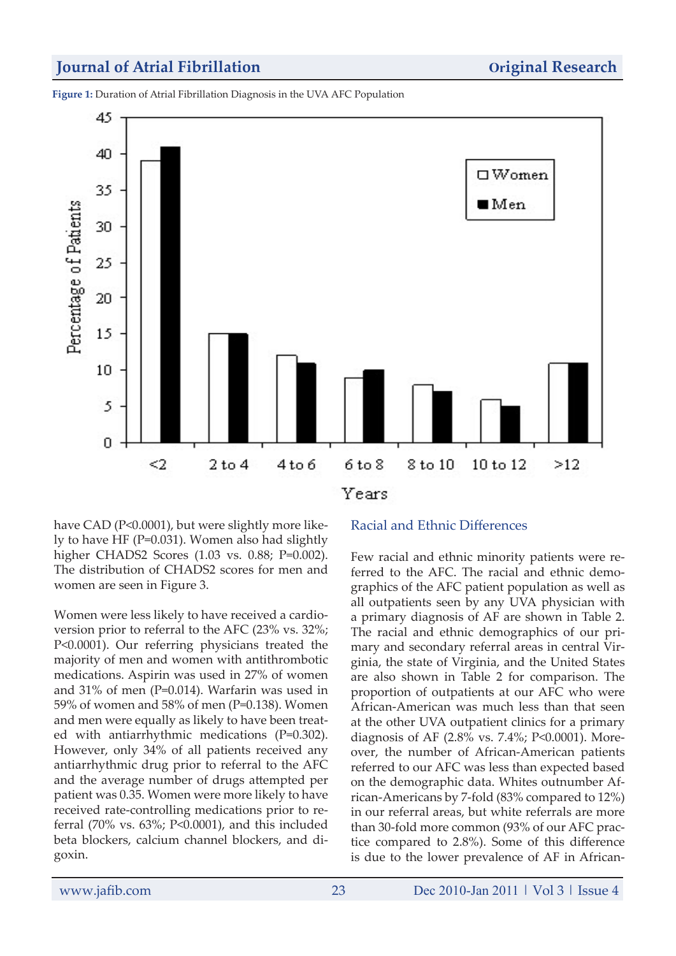**Figure 1:** Duration of Atrial Fibrillation Diagnosis in the UVA AFC Population



have CAD (P<0.0001), but were slightly more likely to have HF (P=0.031). Women also had slightly higher CHADS2 Scores (1.03 vs. 0.88; P=0.002). The distribution of CHADS2 scores for men and women are seen in Figure 3.

Women were less likely to have received a cardioversion prior to referral to the AFC (23% vs. 32%; P<0.0001). Our referring physicians treated the majority of men and women with antithrombotic medications. Aspirin was used in 27% of women and 31% of men (P=0.014). Warfarin was used in 59% of women and 58% of men (P=0.138). Women and men were equally as likely to have been treated with antiarrhythmic medications (P=0.302). However, only 34% of all patients received any antiarrhythmic drug prior to referral to the AFC and the average number of drugs attempted per patient was 0.35. Women were more likely to have received rate-controlling medications prior to referral (70% vs. 63%; P<0.0001), and this included beta blockers, calcium channel blockers, and digoxin.

#### Racial and Ethnic Differences

Few racial and ethnic minority patients were referred to the AFC. The racial and ethnic demographics of the AFC patient population as well as all outpatients seen by any UVA physician with a primary diagnosis of AF are shown in Table 2. The racial and ethnic demographics of our primary and secondary referral areas in central Virginia, the state of Virginia, and the United States are also shown in Table 2 for comparison. The proportion of outpatients at our AFC who were African-American was much less than that seen at the other UVA outpatient clinics for a primary diagnosis of AF (2.8% vs. 7.4%; P<0.0001). Moreover, the number of African-American patients referred to our AFC was less than expected based on the demographic data. Whites outnumber African-Americans by 7-fold (83% compared to 12%) in our referral areas, but white referrals are more than 30-fold more common (93% of our AFC practice compared to 2.8%). Some of this difference is due to the lower prevalence of AF in African-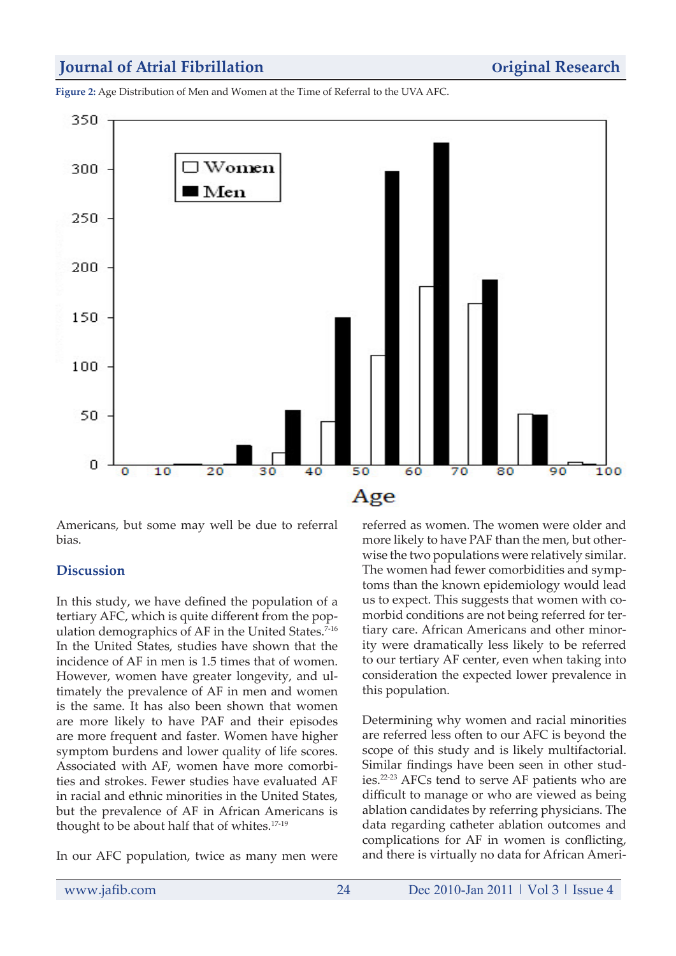**Figure 2:** Age Distribution of Men and Women at the Time of Referral to the UVA AFC.



Americans, but some may well be due to referral bias.

#### **Discussion**

In this study, we have defined the population of a tertiary AFC, which is quite different from the population demographics of AF in the United States.<sup>7-16</sup> In the United States, studies have shown that the incidence of AF in men is 1.5 times that of women. However, women have greater longevity, and ultimately the prevalence of AF in men and women is the same. It has also been shown that women are more likely to have PAF and their episodes are more frequent and faster. Women have higher symptom burdens and lower quality of life scores. Associated with AF, women have more comorbities and strokes. Fewer studies have evaluated AF in racial and ethnic minorities in the United States, but the prevalence of AF in African Americans is thought to be about half that of whites.17-19

In our AFC population, twice as many men were

referred as women. The women were older and more likely to have PAF than the men, but otherwise the two populations were relatively similar. The women had fewer comorbidities and symptoms than the known epidemiology would lead us to expect. This suggests that women with comorbid conditions are not being referred for tertiary care. African Americans and other minority were dramatically less likely to be referred to our tertiary AF center, even when taking into consideration the expected lower prevalence in this population.

Determining why women and racial minorities are referred less often to our AFC is beyond the scope of this study and is likely multifactorial. Similar findings have been seen in other studies.22-23 AFCs tend to serve AF patients who are difficult to manage or who are viewed as being ablation candidates by referring physicians. The data regarding catheter ablation outcomes and complications for AF in women is conflicting, and there is virtually no data for African Ameri-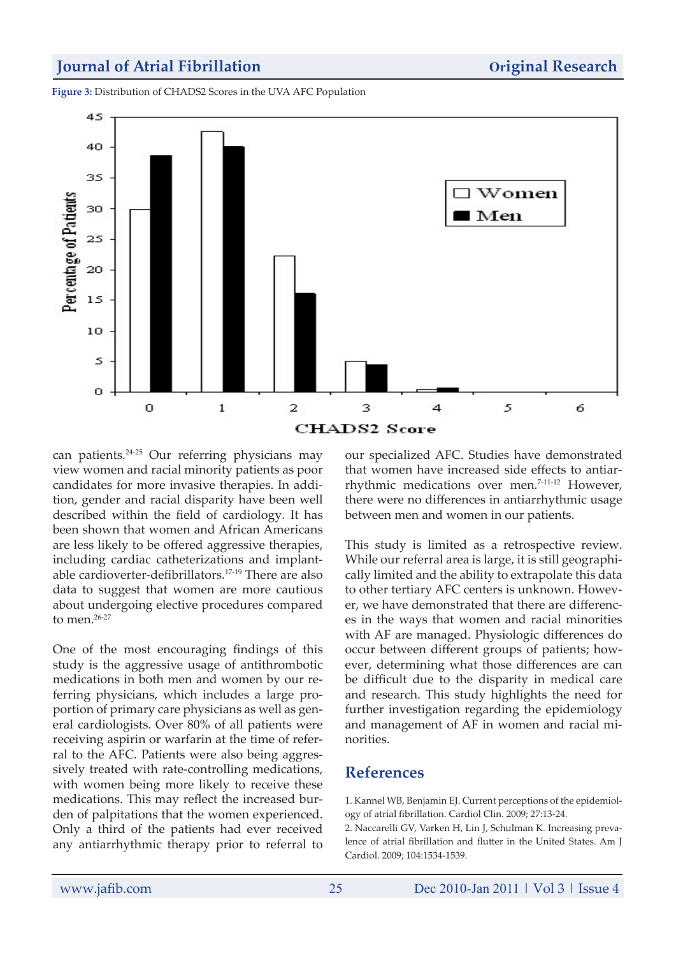**Figure 3:** Distribution of CHADS2 Scores in the UVA AFC Population



can patients.24-25 Our referring physicians may view women and racial minority patients as poor candidates for more invasive therapies. In addition, gender and racial disparity have been well described within the field of cardiology. It has been shown that women and African Americans are less likely to be offered aggressive therapies, including cardiac catheterizations and implantable cardioverter-defibrillators.17-19 There are also data to suggest that women are more cautious about undergoing elective procedures compared to men.<sup>26-27</sup>

One of the most encouraging findings of this study is the aggressive usage of antithrombotic medications in both men and women by our referring physicians, which includes a large proportion of primary care physicians as well as general cardiologists. Over 80% of all patients were receiving aspirin or warfarin at the time of referral to the AFC. Patients were also being aggressively treated with rate-controlling medications, with women being more likely to receive these medications. This may reflect the increased burden of palpitations that the women experienced. Only a third of the patients had ever received any antiarrhythmic therapy prior to referral to our specialized AFC. Studies have demonstrated that women have increased side effects to antiarrhythmic medications over men.<sup>7-11-12</sup> However, there were no differences in antiarrhythmic usage between men and women in our patients.

This study is limited as a retrospective review. While our referral area is large, it is still geographically limited and the ability to extrapolate this data to other tertiary AFC centers is unknown. However, we have demonstrated that there are differences in the ways that women and racial minorities with AF are managed. Physiologic differences do occur between different groups of patients; however, determining what those differences are can be difficult due to the disparity in medical care and research. This study highlights the need for further investigation regarding the epidemiology and management of AF in women and racial minorities.

# **References**

1. Kannel WB, Benjamin EJ. Current perceptions of the epidemiology of atrial fibrillation. Cardiol Clin. 2009; 27:13-24.

2. Naccarelli GV, Varken H, Lin J, Schulman K. Increasing prevalence of atrial fibrillation and flutter in the United States. Am J Cardiol. 2009; 104:1534-1539.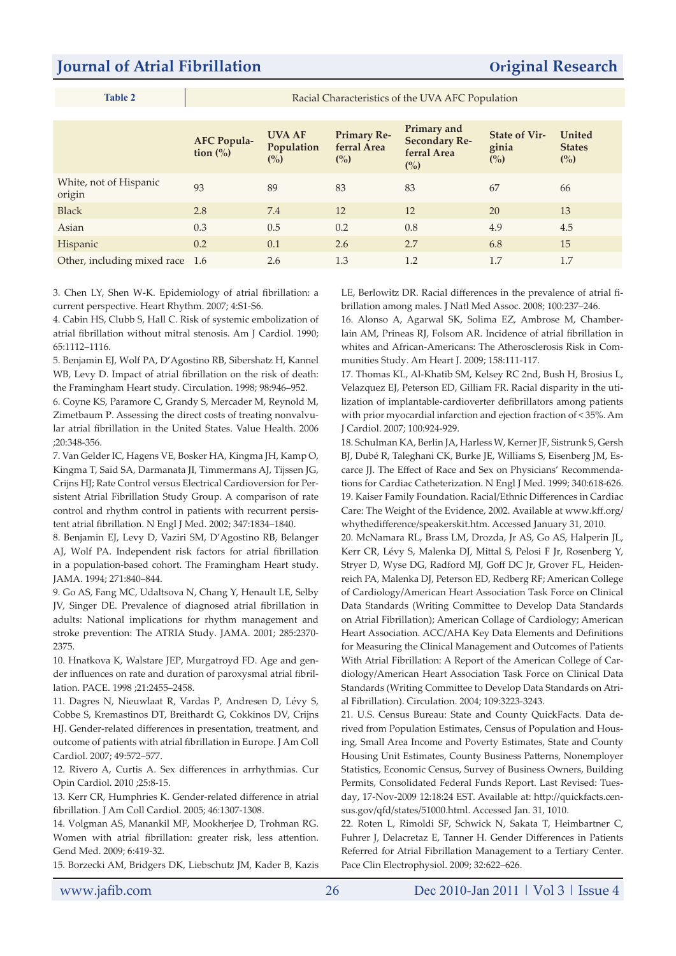|--|

Racial Characteristics of the UVA AFC Population

|                                  | <b>AFC Popula-</b><br>tion $\left(\frac{0}{0}\right)$ | <b>UVA AF</b><br>Population<br>(%) | <b>Primary Re-</b><br>ferral Area<br>$\binom{0}{0}$ | Primary and<br><b>Secondary Re-</b><br>ferral Area<br>$\binom{0}{0}$ | <b>State of Vir-</b><br>ginia<br>$\binom{0}{0}$ | United<br><b>States</b><br>$\binom{0}{0}$ |
|----------------------------------|-------------------------------------------------------|------------------------------------|-----------------------------------------------------|----------------------------------------------------------------------|-------------------------------------------------|-------------------------------------------|
| White, not of Hispanic<br>origin | 93                                                    | 89                                 | 83                                                  | 83                                                                   | 67                                              | 66                                        |
| <b>Black</b>                     | 2.8                                                   | 7.4                                | 12                                                  | 12                                                                   | 20                                              | 13                                        |
| Asian                            | 0.3                                                   | 0.5                                | 0.2                                                 | 0.8                                                                  | 4.9                                             | 4.5                                       |
| Hispanic                         | 0.2                                                   | 0.1                                | 2.6                                                 | 2.7                                                                  | 6.8                                             | 15                                        |
| Other, including mixed race 1.6  |                                                       | 2.6                                | 1.3                                                 | 1.2                                                                  | 1.7                                             | 1.7                                       |

3. Chen LY, Shen W-K. Epidemiology of atrial fibrillation: a current perspective. Heart Rhythm. 2007; 4:S1-S6.

4. Cabin HS, Clubb S, Hall C. Risk of systemic embolization of atrial fibrillation without mitral stenosis. Am J Cardiol. 1990; 65:1112–1116.

5. Benjamin EJ, Wolf PA, D'Agostino RB, Sibershatz H, Kannel WB, Levy D. Impact of atrial fibrillation on the risk of death: the Framingham Heart study. Circulation. 1998; 98:946–952.

6. Coyne KS, Paramore C, Grandy S, Mercader M, Reynold M, Zimetbaum P. Assessing the direct costs of treating nonvalvular atrial fibrillation in the United States. Value Health. 2006 ;20:348-356.

7. Van Gelder IC, Hagens VE, Bosker HA, Kingma JH, Kamp O, Kingma T, Said SA, Darmanata JI, Timmermans AJ, Tijssen JG, Crijns HJ; Rate Control versus Electrical Cardioversion for Persistent Atrial Fibrillation Study Group. A comparison of rate control and rhythm control in patients with recurrent persistent atrial fibrillation. N Engl J Med. 2002; 347:1834–1840.

8. Benjamin EJ, Levy D, Vaziri SM, D'Agostino RB, Belanger AJ, Wolf PA. Independent risk factors for atrial fibrillation in a population-based cohort. The Framingham Heart study. JAMA. 1994; 271:840–844.

9. Go AS, Fang MC, Udaltsova N, Chang Y, Henault LE, Selby JV, Singer DE. Prevalence of diagnosed atrial fibrillation in adults: National implications for rhythm management and stroke prevention: The ATRIA Study. JAMA. 2001; 285:2370- 2375.

10. Hnatkova K, Walstare JEP, Murgatroyd FD. Age and gender influences on rate and duration of paroxysmal atrial fibrillation. PACE. 1998 ;21:2455–2458.

11. Dagres N, Nieuwlaat R, Vardas P, Andresen D, Lévy S, Cobbe S, Kremastinos DT, Breithardt G, Cokkinos DV, Crijns HJ. Gender-related differences in presentation, treatment, and outcome of patients with atrial fibrillation in Europe. J Am Coll Cardiol. 2007; 49:572–577.

12. Rivero A, Curtis A. Sex differences in arrhythmias. Cur Opin Cardiol. 2010 ;25:8-15.

13. Kerr CR, Humphries K. Gender-related difference in atrial fibrillation. J Am Coll Cardiol. 2005; 46:1307-1308.

14. Volgman AS, Manankil MF, Mookherjee D, Trohman RG. Women with atrial fibrillation: greater risk, less attention. Gend Med. 2009; 6:419-32.

15. Borzecki AM, Bridgers DK, Liebschutz JM, Kader B, Kazis

LE, Berlowitz DR. Racial differences in the prevalence of atrial fibrillation among males. J Natl Med Assoc. 2008; 100:237–246.

16. Alonso A, Agarwal SK, Solima EZ, Ambrose M, Chamberlain AM, Prineas RJ, Folsom AR. Incidence of atrial fibrillation in whites and African-Americans: The Atherosclerosis Risk in Communities Study. Am Heart J. 2009; 158:111-117.

17. Thomas KL, Al-Khatib SM, Kelsey RC 2nd, Bush H, Brosius L, Velazquez EJ, Peterson ED, Gilliam FR. Racial disparity in the utilization of implantable-cardioverter defibrillators among patients with prior myocardial infarction and ejection fraction of < 35%. Am J Cardiol. 2007; 100:924-929.

18. Schulman KA, Berlin JA, Harless W, Kerner JF, Sistrunk S, Gersh BJ, Dubé R, Taleghani CK, Burke JE, Williams S, Eisenberg JM, Escarce JJ. The Effect of Race and Sex on Physicians' Recommendations for Cardiac Catheterization. N Engl J Med. 1999; 340:618-626. 19. Kaiser Family Foundation. Racial/Ethnic Differences in Cardiac Care: The Weight of the Evidence, 2002. Available at www.kff.org/ whythedifference/speakerskit.htm. Accessed January 31, 2010.

20. McNamara RL, Brass LM, Drozda, Jr AS, Go AS, Halperin JL, Kerr CR, Lévy S, Malenka DJ, Mittal S, Pelosi F Jr, Rosenberg Y, Stryer D, Wyse DG, Radford MJ, Goff DC Jr, Grover FL, Heidenreich PA, Malenka DJ, Peterson ED, Redberg RF; American College of Cardiology/American Heart Association Task Force on Clinical Data Standards (Writing Committee to Develop Data Standards on Atrial Fibrillation); American Collage of Cardiology; American Heart Association. ACC/AHA Key Data Elements and Definitions for Measuring the Clinical Management and Outcomes of Patients With Atrial Fibrillation: A Report of the American College of Cardiology/American Heart Association Task Force on Clinical Data Standards (Writing Committee to Develop Data Standards on Atrial Fibrillation). Circulation. 2004; 109:3223-3243.

21. U.S. Census Bureau: State and County QuickFacts. Data derived from Population Estimates, Census of Population and Housing, Small Area Income and Poverty Estimates, State and County Housing Unit Estimates, County Business Patterns, Nonemployer Statistics, Economic Census, Survey of Business Owners, Building Permits, Consolidated Federal Funds Report. Last Revised: Tuesday, 17-Nov-2009 12:18:24 EST. Available at: http://quickfacts.census.gov/qfd/states/51000.html. Accessed Jan. 31, 1010.

22. Roten L, Rimoldi SF, Schwick N, Sakata T, Heimbartner C, Fuhrer J, Delacretaz E, Tanner H. Gender Differences in Patients Referred for Atrial Fibrillation Management to a Tertiary Center. Pace Clin Electrophysiol. 2009; 32:622–626.